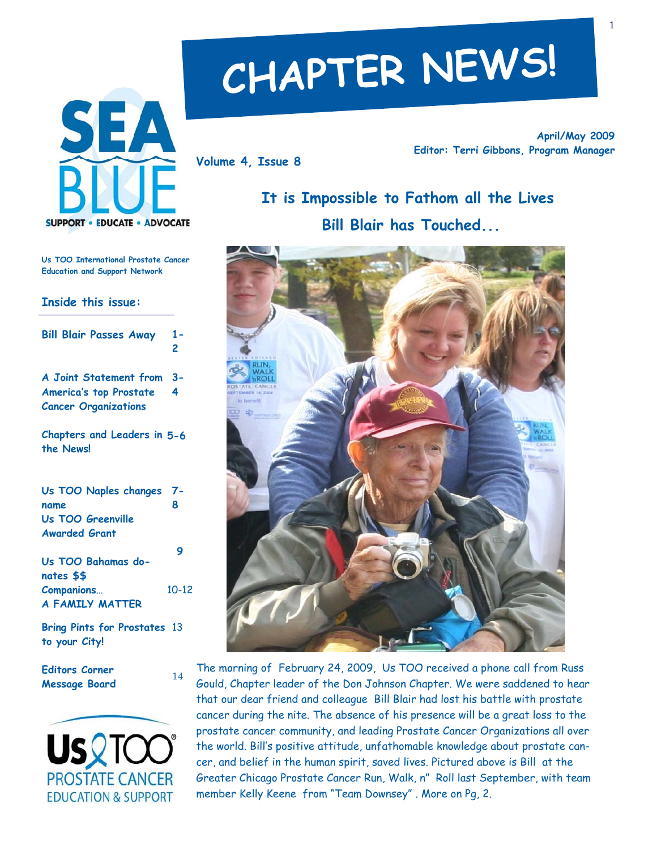

# **CHAPTER NEWS!**

**Volume 4, Issue 8** 

**April/May 2009 Editor: Terri Gibbons, Program Manager** 

# **It is Impossible to Fathom all the Lives Bill Blair has Touched...**



The morning of February 24, 2009, Us TOO received a phone call from Russ Gould, Chapter leader of the Don Johnson Chapter. We were saddened to hear that our dear friend and colleague Bill Blair had lost his battle with prostate cancer during the nite. The absence of his presence will be a great loss to the prostate cancer community, and leading Prostate Cancer Organizations all over the world. Bill's positive attitude, unfathomable knowledge about prostate cancer, and belief in the human spirit, saved lives. Pictured above is Bill at the Greater Chicago Prostate Cancer Run, Walk, n" Roll last September, with team member Kelly Keene from "Team Downsey" . More on Pg, 2.

**Us TOO International Prostate Cancer Education and Support Network** 

#### **Inside this issue:**

| <b>Bill Blair Passes Away</b> | $1 -$<br>2 |
|-------------------------------|------------|
| A Joint Statement from 3-     |            |
| <b>America's top Prostate</b> | 4          |
| <b>Cancer Organizations</b>   |            |

**Chapters and Leaders in 5-6 the News!** 

| Us TOO Naples changes 7-        |           |
|---------------------------------|-----------|
| name                            | 8         |
| Us TOO Greenville               |           |
| <b>Awarded Grant</b>            |           |
| Us TOO Bahamas do-              | 9         |
| nates \$\$<br><b>Companions</b> | $10 - 12$ |
| <b>A FAMILY MATTER</b>          |           |

**Bring Pints for Prostates**  13 **to your City!** 

14

**Editors Corner Message Board** 

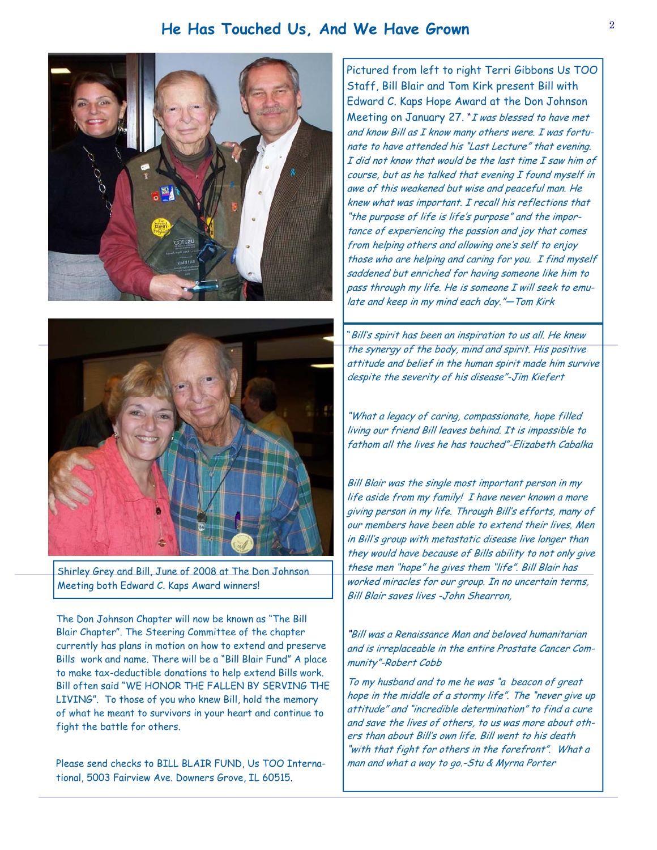## **He Has Touched Us, And We Have Grown** <sup>2</sup>





Shirley Grey and Bill, June of 2008 at The Don Johnson Meeting both Edward C. Kaps Award winners!

The Don Johnson Chapter will now be known as "The Bill Blair Chapter". The Steering Committee of the chapter currently has plans in motion on how to extend and preserve Bills work and name. There will be a "Bill Blair Fund" A place to make tax-deductible donations to help extend Bills work. Bill often said "WE HONOR THE FALLEN BY SERVING THE LIVING". To those of you who knew Bill, hold the memory of what he meant to survivors in your heart and continue to fight the battle for others.

Please send checks to BILL BLAIR FUND, Us TOO International, 5003 Fairview Ave. Downers Grove, IL 60515.

Pictured from left to right Terri Gibbons Us TOO Staff, Bill Blair and Tom Kirk present Bill with Edward C. Kaps Hope Award at the Don Johnson Meeting on January 27. "I was blessed to have met and know Bill as I know many others were. I was fortunate to have attended his "Last Lecture" that evening. I did not know that would be the last time I saw him of course, but as he talked that evening I found myself in awe of this weakened but wise and peaceful man. He knew what was important. I recall his reflections that "the purpose of life is life's purpose" and the importance of experiencing the passion and joy that comes from helping others and allowing one's self to enjoy those who are helping and caring for you. I find myself saddened but enriched for having someone like him to pass through my life. He is someone I will seek to emulate and keep in my mind each day."—Tom Kirk

"Bill's spirit has been an inspiration to us all. He knew the synergy of the body, mind and spirit. His positive attitude and belief in the human spirit made him survive despite the severity of his disease"-Jim Kiefert

"What a legacy of caring, compassionate, hope filled living our friend Bill leaves behind. It is impossible to fathom all the lives he has touched"-Elizabeth Cabalka

Bill Blair was the single most important person in my life aside from my family! I have never known a more giving person in my life. Through Bill's efforts, many of our members have been able to extend their lives. Men in Bill's group with metastatic disease live longer than they would have because of Bills ability to not only give these men "hope" he gives them "life". Bill Blair has worked miracles for our group. In no uncertain terms, Bill Blair saves lives -John Shearron,

"Bill was a Renaissance Man and beloved humanitarian and is irreplaceable in the entire Prostate Cancer Community"-Robert Cobb

To my husband and to me he was "a beacon of great hope in the middle of a stormy life". The "never give up attitude" and "incredible determination" to find a cure and save the lives of others, to us was more about others than about Bill's own life. Bill went to his death "with that fight for others in the forefront". What a man and what a way to go.-Stu & Myrna Porter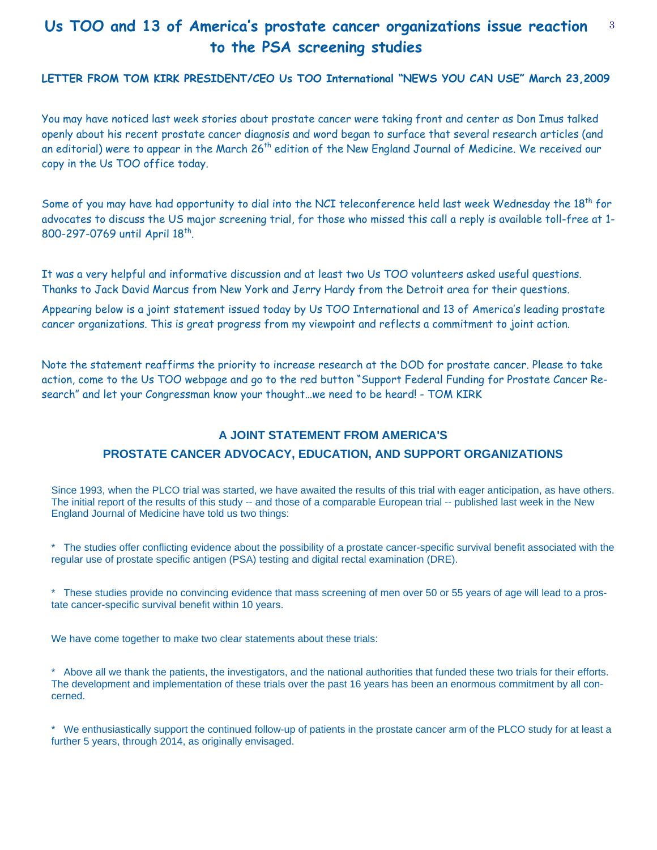## **Us TOO and 13 of America's prostate cancer organizations issue reaction** <sup>3</sup> **to the PSA screening studies**

**LETTER FROM TOM KIRK PRESIDENT/CEO Us TOO International "NEWS YOU CAN USE" March 23,2009** 

You may have noticed last week stories about prostate cancer were taking front and center as Don Imus talked openly about his recent prostate cancer diagnosis and word began to surface that several research articles (and an editorial) were to appear in the March 26<sup>th</sup> edition of the New England Journal of Medicine. We received our copy in the Us TOO office today.

Some of you may have had opportunity to dial into the NCI teleconference held last week Wednesday the  $18^{th}$  for advocates to discuss the US major screening trial, for those who missed this call a reply is available toll-free at 1- 800-297-0769 until April 18<sup>th</sup>.

It was a very helpful and informative discussion and at least two Us TOO volunteers asked useful questions. Thanks to Jack David Marcus from New York and Jerry Hardy from the Detroit area for their questions.

Appearing below is a joint statement issued today by Us TOO International and 13 of America's leading prostate cancer organizations. This is great progress from my viewpoint and reflects a commitment to joint action.

Note the statement reaffirms the priority to increase research at the DOD for prostate cancer. Please to take action, come to the Us TOO webpage and go to the red button "Support Federal Funding for Prostate Cancer Research" and let your Congressman know your thought…we need to be heard! - TOM KIRK

## **A JOINT STATEMENT FROM AMERICA'S PROSTATE CANCER ADVOCACY, EDUCATION, AND SUPPORT ORGANIZATIONS**

Since 1993, when the PLCO trial was started, we have awaited the results of this trial with eager anticipation, as have others. The initial report of the results of this study -- and those of a comparable European trial -- published last week in the New England Journal of Medicine have told us two things:

\* The studies offer conflicting evidence about the possibility of a prostate cancer-specific survival benefit associated with the regular use of prostate specific antigen (PSA) testing and digital rectal examination (DRE).

\* These studies provide no convincing evidence that mass screening of men over 50 or 55 years of age will lead to a prostate cancer-specific survival benefit within 10 years.

We have come together to make two clear statements about these trials:

\* Above all we thank the patients, the investigators, and the national authorities that funded these two trials for their efforts. The development and implementation of these trials over the past 16 years has been an enormous commitment by all concerned.

\* We enthusiastically support the continued follow-up of patients in the prostate cancer arm of the PLCO study for at least a further 5 years, through 2014, as originally envisaged.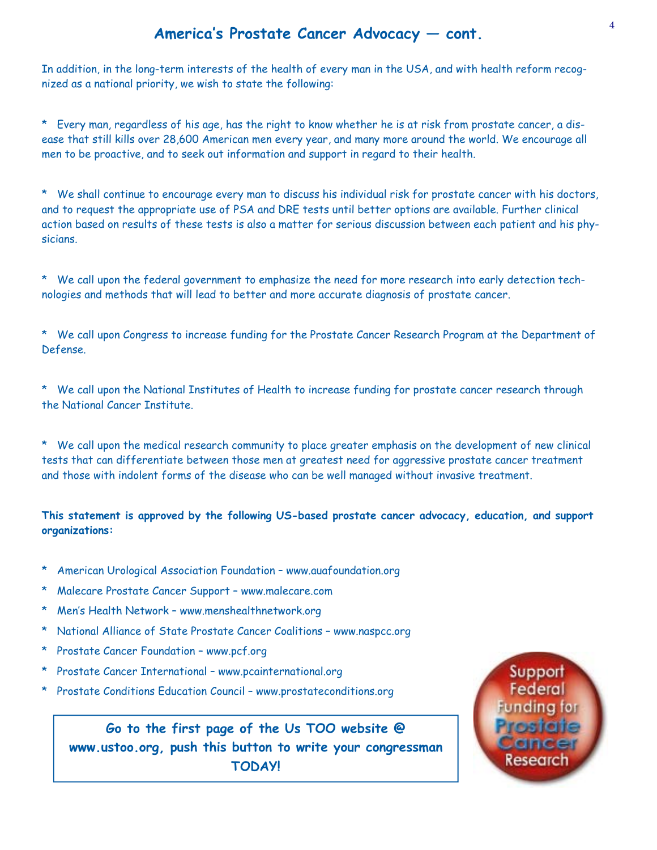## **America's Prostate Cancer Advocacy — cont.**

In addition, in the long-term interests of the health of every man in the USA, and with health reform recognized as a national priority, we wish to state the following:

\* Every man, regardless of his age, has the right to know whether he is at risk from prostate cancer, a disease that still kills over 28,600 American men every year, and many more around the world. We encourage all men to be proactive, and to seek out information and support in regard to their health.

\* We shall continue to encourage every man to discuss his individual risk for prostate cancer with his doctors, and to request the appropriate use of PSA and DRE tests until better options are available. Further clinical action based on results of these tests is also a matter for serious discussion between each patient and his physicians.

\* We call upon the federal government to emphasize the need for more research into early detection technologies and methods that will lead to better and more accurate diagnosis of prostate cancer.

\* We call upon Congress to increase funding for the Prostate Cancer Research Program at the Department of Defense.

\* We call upon the National Institutes of Health to increase funding for prostate cancer research through the National Cancer Institute.

\* We call upon the medical research community to place greater emphasis on the development of new clinical tests that can differentiate between those men at greatest need for aggressive prostate cancer treatment and those with indolent forms of the disease who can be well managed without invasive treatment.

#### **This statement is approved by the following US-based prostate cancer advocacy, education, and support organizations:**

- American Urological Association Foundation www.auafoundation.org
- Malecare Prostate Cancer Support www.malecare.com
- Men's Health Network www.menshealthnetwork.org
- National Alliance of State Prostate Cancer Coalitions www.naspcc.org
- Prostate Cancer Foundation www.pcf.org
- \* Prostate Cancer International www.pcainternational.org
- \* Prostate Conditions Education Council www.prostateconditions.org

**Go to the first page of the Us TOO website @ www.ustoo.org, push this button to write your congressman TODAY!** 

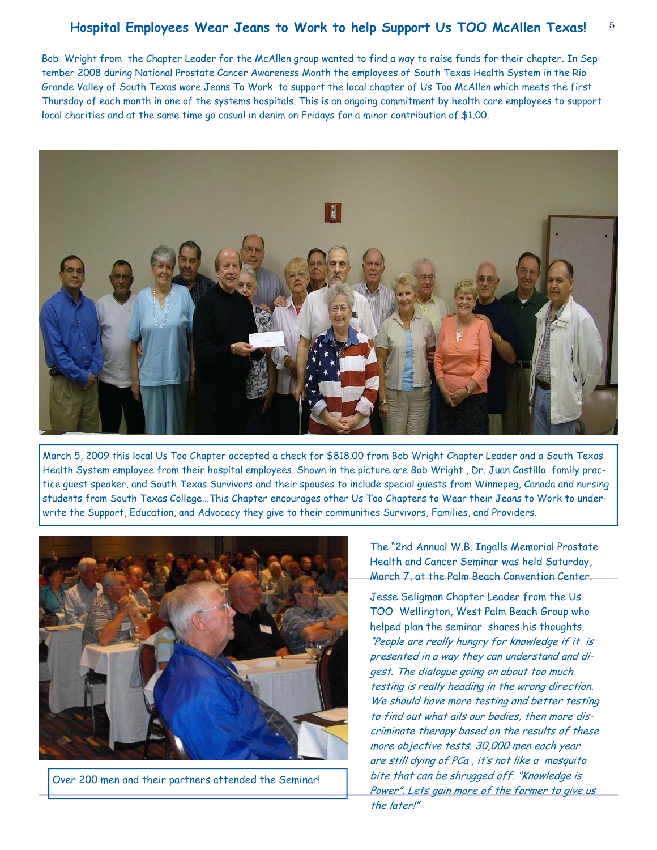#### 5 **Hospital Employees Wear Jeans to Work to help Support Us TOO McAllen Texas!**

Bob Wright from the Chapter Leader for the McAllen group wanted to find a way to raise funds for their chapter. In September 2008 during National Prostate Cancer Awareness Month the employees of South Texas Health System in the Rio Grande Valley of South Texas wore Jeans To Work to support the local chapter of Us Too McAllen which meets the first Thursday of each month in one of the systems hospitals. This is an ongoing commitment by health care employees to support local charities and at the same time go casual in denim on Fridays for a minor contribution of \$1.00.



March 5, 2009 this local Us Too Chapter accepted a check for \$818.00 from Bob Wright Chapter Leader and a South Texas Health System employee from their hospital employees. Shown in the picture are Bob Wright , Dr. Juan Castillo family practice guest speaker, and South Texas Survivors and their spouses to include special guests from Winnepeg, Canada and nursing students from South Texas College...This Chapter encourages other Us Too Chapters to Wear their Jeans to Work to underwrite the Support, Education, and Advocacy they give to their communities Survivors, Families, and Providers.



Over 200 men and their partners attended the Seminar!

The "2nd Annual W.B. Ingalls Memorial Prostate Health and Cancer Seminar was held Saturday, March 7, at the Palm Beach Convention Center.

Jesse Seligman Chapter Leader from the Us TOO Wellington, West Palm Beach Group who helped plan the seminar shares his thoughts. "People are really hungry for knowledge if it is presented in a way they can understand and digest. The dialogue going on about too much testing is really heading in the wrong direction. We should have more testing and better testing to find out what ails our bodies, then more discriminate therapy based on the results of these more objective tests. 30,000 men each year are still dying of PCa , it's not like a mosquito bite that can be shrugged off. "Knowledge is Power". Lets gain more of the former to give us the later!"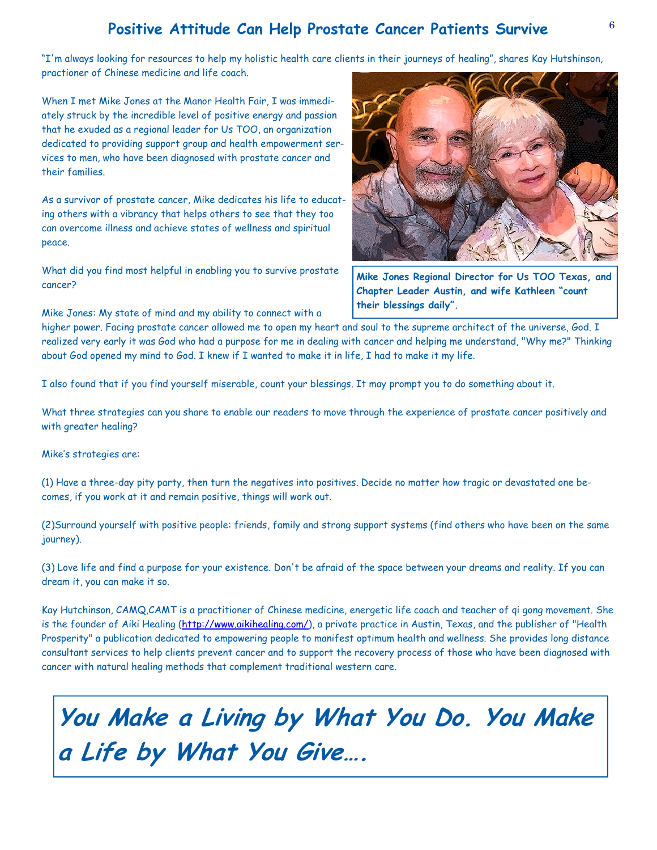## <sup>6</sup>**Positive Attitude Can Help Prostate Cancer Patients Survive**

"I'm always looking for resources to help my holistic health care clients in their journeys of healing", shares Kay Hutshinson, practioner of Chinese medicine and life coach.

When I met Mike Jones at the Manor Health Fair, I was immediately struck by the incredible level of positive energy and passion that he exuded as a regional leader for Us TOO, an organization dedicated to providing support group and health empowerment services to men, who have been diagnosed with prostate cancer and their families.

As a survivor of prostate cancer, Mike dedicates his life to educating others with a vibrancy that helps others to see that they too can overcome illness and achieve states of wellness and spiritual peace.

What did you find most helpful in enabling you to survive prostate cancer?

Mike Jones: My state of mind and my ability to connect with a



**Mike Jones Regional Director for Us TOO Texas, and Chapter Leader Austin, and wife Kathleen "count their blessings daily".** 

higher power. Facing prostate cancer allowed me to open my heart and soul to the supreme architect of the universe, God. I realized very early it was God who had a purpose for me in dealing with cancer and helping me understand, "Why me?" Thinking about God opened my mind to God. I knew if I wanted to make it in life, I had to make it my life.

I also found that if you find yourself miserable, count your blessings. It may prompt you to do something about it.

What three strategies can you share to enable our readers to move through the experience of prostate cancer positively and with greater healing?

Mike's strategies are:

(1) Have a three-day pity party, then turn the negatives into positives. Decide no matter how tragic or devastated one becomes, if you work at it and remain positive, things will work out.

(2)Surround yourself with positive people: friends, family and strong support systems (find others who have been on the same journey).

(3) Love life and find a purpose for your existence. Don't be afraid of the space between your dreams and reality. If you can dream it, you can make it so.

Kay Hutchinson, CAMQ,CAMT is a practitioner of Chinese medicine, energetic life coach and teacher of qi gong movement. She is the founder of Aiki Healing (http://www.aikihealing.com/), a private practice in Austin, Texas, and the publisher of "Health Prosperity" a publication dedicated to empowering people to manifest optimum health and wellness. She provides long distance consultant services to help clients prevent cancer and to support the recovery process of those who have been diagnosed with cancer with natural healing methods that complement traditional western care.

**You Make a Living by What You Do. You Make a Life by What You Give….**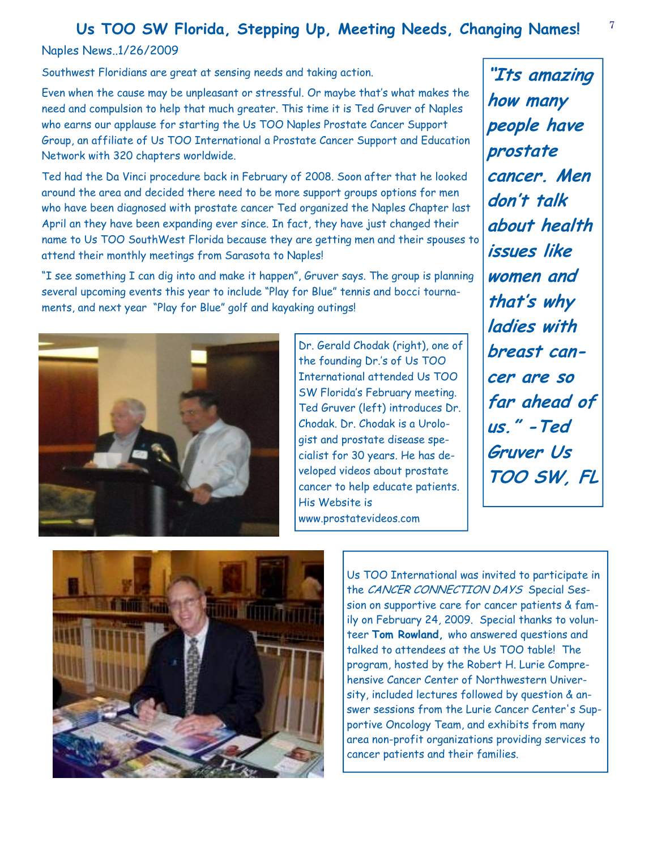## <sup>7</sup>**Us TOO SW Florida, Stepping Up, Meeting Needs, Changing Names!**

#### Naples News..1/26/2009

Southwest Floridians are great at sensing needs and taking action.

Even when the cause may be unpleasant or stressful. Or maybe that's what makes the need and compulsion to help that much greater. This time it is Ted Gruver of Naples who earns our applause for starting the Us TOO Naples Prostate Cancer Support Group, an affiliate of Us TOO International a Prostate Cancer Support and Education Network with 320 chapters worldwide.

Ted had the Da Vinci procedure back in February of 2008. Soon after that he looked around the area and decided there need to be more support groups options for men who have been diagnosed with prostate cancer Ted organized the Naples Chapter last April an they have been expanding ever since. In fact, they have just changed their name to Us TOO SouthWest Florida because they are getting men and their spouses to attend their monthly meetings from Sarasota to Naples!

"I see something I can dig into and make it happen", Gruver says. The group is planning several upcoming events this year to include "Play for Blue" tennis and bocci tournaments, and next year "Play for Blue" golf and kayaking outings!



Dr. Gerald Chodak (right), one of the founding Dr.'s of Us TOO International attended Us TOO SW Florida's February meeting. Ted Gruver (left) introduces Dr. Chodak. Dr. Chodak is a Urologist and prostate disease specialist for 30 years. He has developed videos about prostate cancer to help educate patients. His Website is www.prostatevideos.com

**"Its amazing how many people have prostate cancer. Men don't talk about health issues like women and that's why ladies with breast cancer are so far ahead of us." -Ted Gruver Us TOO SW, FL** 



Us TOO International was invited to participate in the CANCER CONNECTION DAYS Special Session on supportive care for cancer patients & family on February 24, 2009. Special thanks to volunteer **Tom Rowland,** who answered questions and talked to attendees at the Us TOO table! The program, hosted by the Robert H. Lurie Comprehensive Cancer Center of Northwestern University, included lectures followed by question & answer sessions from the Lurie Cancer Center's Supportive Oncology Team, and exhibits from many area non-profit organizations providing services to cancer patients and their families.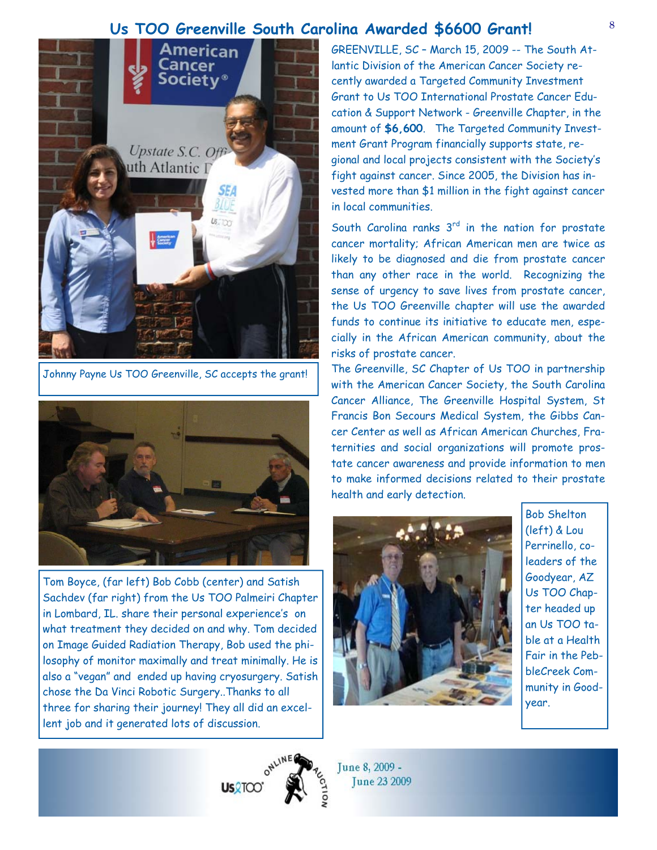## **Us TOO Greenville South Carolina Awarded \$6600 Grant!**



Johnny Payne Us TOO Greenville, SC accepts the grant!



Tom Boyce, (far left) Bob Cobb (center) and Satish Sachdev (far right) from the Us TOO Palmeiri Chapter in Lombard, IL. share their personal experience's on what treatment they decided on and why. Tom decided on Image Guided Radiation Therapy, Bob used the philosophy of monitor maximally and treat minimally. He is also a "vegan" and ended up having cryosurgery. Satish chose the Da Vinci Robotic Surgery..Thanks to all three for sharing their journey! They all did an excellent job and it generated lots of discussion.

GREENVILLE, SC – March 15, 2009 -- The South Atlantic Division of the American Cancer Society recently awarded a Targeted Community Investment Grant to Us TOO International Prostate Cancer Education & Support Network - Greenville Chapter, in the amount of **\$6,600**. The Targeted Community Investment Grant Program financially supports state, regional and local projects consistent with the Society's fight against cancer. Since 2005, the Division has invested more than \$1 million in the fight against cancer in local communities.

South Carolina ranks  $3^{rd}$  in the nation for prostate cancer mortality; African American men are twice as likely to be diagnosed and die from prostate cancer than any other race in the world. Recognizing the sense of urgency to save lives from prostate cancer, the Us TOO Greenville chapter will use the awarded funds to continue its initiative to educate men, especially in the African American community, about the risks of prostate cancer.

The Greenville, SC Chapter of Us TOO in partnership with the American Cancer Society, the South Carolina Cancer Alliance, The Greenville Hospital System, St Francis Bon Secours Medical System, the Gibbs Cancer Center as well as African American Churches, Fraternities and social organizations will promote prostate cancer awareness and provide information to men to make informed decisions related to their prostate health and early detection.



Bob Shelton (left) & Lou Perrinello, coleaders of the Goodyear, AZ Us TOO Chapter headed up an Us TOO table at a Health Fair in the PebbleCreek Community in Goodyear.



June 8, 2009 -**Tune 23 2009**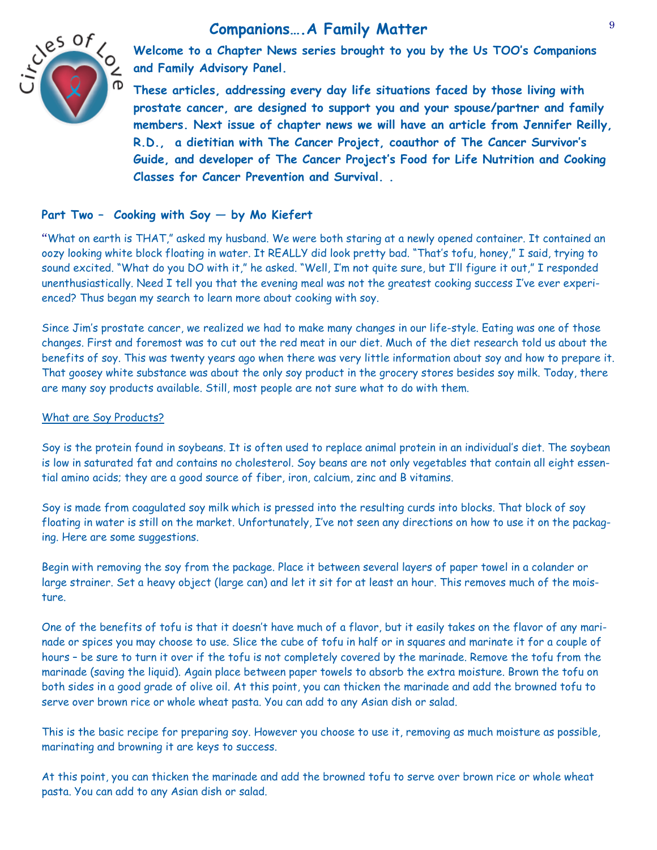## **Companions….A Family Matter**



**Welcome to a Chapter News series brought to you by the Us TOO's Companions and Family Advisory Panel.** 

**These articles, addressing every day life situations faced by those living with prostate cancer, are designed to support you and your spouse/partner and family members. Next issue of chapter news we will have an article from Jennifer Reilly, R.D., a dietitian with The Cancer Project, coauthor of The Cancer Survivor's Guide, and developer of The Cancer Project's Food for Life Nutrition and Cooking Classes for Cancer Prevention and Survival. .** 

#### **Part Two – Cooking with Soy — by Mo Kiefert**

"What on earth is THAT," asked my husband. We were both staring at a newly opened container. It contained an oozy looking white block floating in water. It REALLY did look pretty bad. "That's tofu, honey," I said, trying to sound excited. "What do you DO with it," he asked. "Well, I'm not quite sure, but I'll figure it out," I responded unenthusiastically. Need I tell you that the evening meal was not the greatest cooking success I've ever experienced? Thus began my search to learn more about cooking with soy.

Since Jim's prostate cancer, we realized we had to make many changes in our life-style. Eating was one of those changes. First and foremost was to cut out the red meat in our diet. Much of the diet research told us about the benefits of soy. This was twenty years ago when there was very little information about soy and how to prepare it. That goosey white substance was about the only soy product in the grocery stores besides soy milk. Today, there are many soy products available. Still, most people are not sure what to do with them.

#### What are Soy Products?

Soy is the protein found in soybeans. It is often used to replace animal protein in an individual's diet. The soybean is low in saturated fat and contains no cholesterol. Soy beans are not only vegetables that contain all eight essential amino acids; they are a good source of fiber, iron, calcium, zinc and B vitamins.

Soy is made from coagulated soy milk which is pressed into the resulting curds into blocks. That block of soy floating in water is still on the market. Unfortunately, I've not seen any directions on how to use it on the packaging. Here are some suggestions.

Begin with removing the soy from the package. Place it between several layers of paper towel in a colander or large strainer. Set a heavy object (large can) and let it sit for at least an hour. This removes much of the moisture.

One of the benefits of tofu is that it doesn't have much of a flavor, but it easily takes on the flavor of any marinade or spices you may choose to use. Slice the cube of tofu in half or in squares and marinate it for a couple of hours – be sure to turn it over if the tofu is not completely covered by the marinade. Remove the tofu from the marinade (saving the liquid). Again place between paper towels to absorb the extra moisture. Brown the tofu on both sides in a good grade of olive oil. At this point, you can thicken the marinade and add the browned tofu to serve over brown rice or whole wheat pasta. You can add to any Asian dish or salad.

This is the basic recipe for preparing soy. However you choose to use it, removing as much moisture as possible, marinating and browning it are keys to success.

At this point, you can thicken the marinade and add the browned tofu to serve over brown rice or whole wheat pasta. You can add to any Asian dish or salad.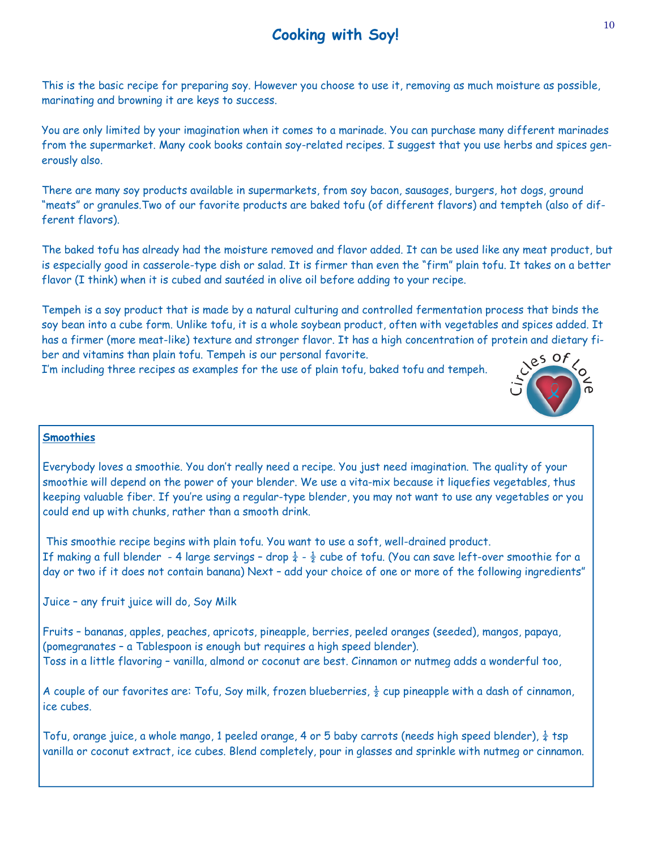## **Cooking with Soy!**

This is the basic recipe for preparing soy. However you choose to use it, removing as much moisture as possible, marinating and browning it are keys to success.

You are only limited by your imagination when it comes to a marinade. You can purchase many different marinades from the supermarket. Many cook books contain soy-related recipes. I suggest that you use herbs and spices generously also.

There are many soy products available in supermarkets, from soy bacon, sausages, burgers, hot dogs, ground "meats" or granules.Two of our favorite products are baked tofu (of different flavors) and tempteh (also of different flavors).

The baked tofu has already had the moisture removed and flavor added. It can be used like any meat product, but is especially good in casserole-type dish or salad. It is firmer than even the "firm" plain tofu. It takes on a better flavor (I think) when it is cubed and sautéed in olive oil before adding to your recipe.

Tempeh is a soy product that is made by a natural culturing and controlled fermentation process that binds the soy bean into a cube form. Unlike tofu, it is a whole soybean product, often with vegetables and spices added. It has a firmer (more meat-like) texture and stronger flavor. It has a high concentration of protein and dietary fiber and vitamins than plain tofu. Tempeh is our personal favorite.

I'm including three recipes as examples for the use of plain tofu, baked tofu and tempeh.



#### **Smoothies**

Everybody loves a smoothie. You don't really need a recipe. You just need imagination. The quality of your smoothie will depend on the power of your blender. We use a vita-mix because it liquefies vegetables, thus keeping valuable fiber. If you're using a regular-type blender, you may not want to use any vegetables or you could end up with chunks, rather than a smooth drink.

 This smoothie recipe begins with plain tofu. You want to use a soft, well-drained product. If making a full blender - 4 large servings - drop  $\frac{1}{4}$  -  $\frac{1}{2}$  cube of tofu. (You can save left-over smoothie for a day or two if it does not contain banana) Next – add your choice of one or more of the following ingredients"

Juice – any fruit juice will do, Soy Milk

Fruits – bananas, apples, peaches, apricots, pineapple, berries, peeled oranges (seeded), mangos, papaya, (pomegranates – a Tablespoon is enough but requires a high speed blender). Toss in a little flavoring – vanilla, almond or coconut are best. Cinnamon or nutmeg adds a wonderful too,

A couple of our favorites are: Tofu, Soy milk, frozen blueberries,  $\frac{1}{2}$  cup pineapple with a dash of cinnamon, ice cubes.

Tofu, orange juice, a whole mango, 1 peeled orange, 4 or 5 baby carrots (needs high speed blender),  $\frac{1}{4}$  tsp vanilla or coconut extract, ice cubes. Blend completely, pour in glasses and sprinkle with nutmeg or cinnamon.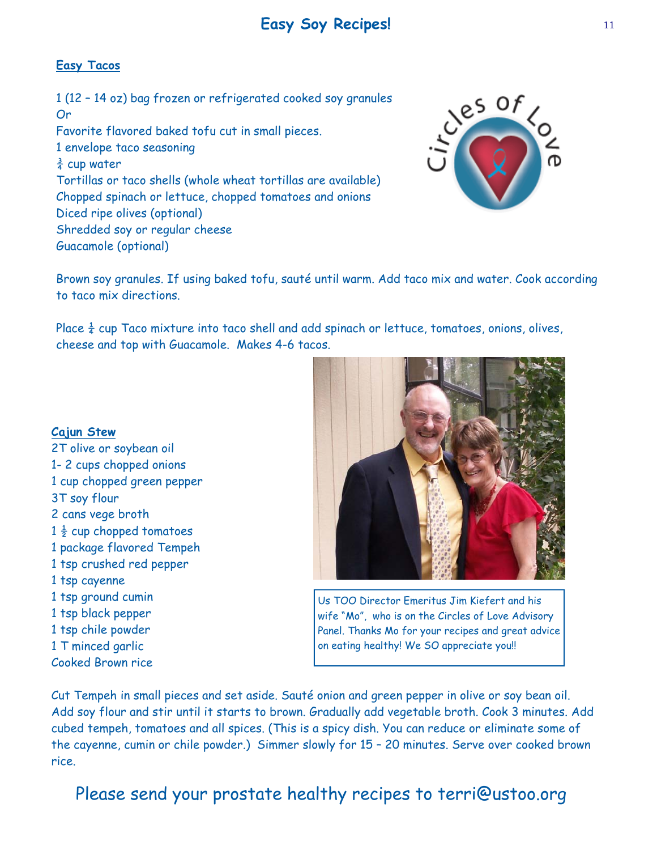## **Easy Soy Recipes!**

#### **Easy Tacos**

1 (12 – 14 oz) bag frozen or refrigerated cooked soy granules Or Favorite flavored baked tofu cut in small pieces. 1 envelope taco seasoning  $\frac{3}{4}$  cup water Tortillas or taco shells (whole wheat tortillas are available) Chopped spinach or lettuce, chopped tomatoes and onions Diced ripe olives (optional) Shredded soy or regular cheese

Guacamole (optional)



Brown soy granules. If using baked tofu, sauté until warm. Add taco mix and water. Cook according to taco mix directions.

Place  $\frac{1}{4}$  cup Taco mixture into taco shell and add spinach or lettuce, tomatoes, onions, olives, cheese and top with Guacamole. Makes 4-6 tacos.

#### **Cajun Stew**

2T olive or soybean oil 1- 2 cups chopped onions 1 cup chopped green pepper 3T soy flour 2 cans vege broth  $1\frac{1}{2}$  cup chopped tomatoes 1 package flavored Tempeh 1 tsp crushed red pepper 1 tsp cayenne 1 tsp ground cumin 1 tsp black pepper 1 tsp chile powder 1 T minced garlic Cooked Brown rice



Us TOO Director Emeritus Jim Kiefert and his wife "Mo", who is on the Circles of Love Advisory Panel. Thanks Mo for your recipes and great advice on eating healthy! We SO appreciate you!!

Cut Tempeh in small pieces and set aside. Sauté onion and green pepper in olive or soy bean oil. Add soy flour and stir until it starts to brown. Gradually add vegetable broth. Cook 3 minutes. Add cubed tempeh, tomatoes and all spices. (This is a spicy dish. You can reduce or eliminate some of the cayenne, cumin or chile powder.) Simmer slowly for 15 – 20 minutes. Serve over cooked brown rice.

Please send your prostate healthy recipes to terri@ustoo.org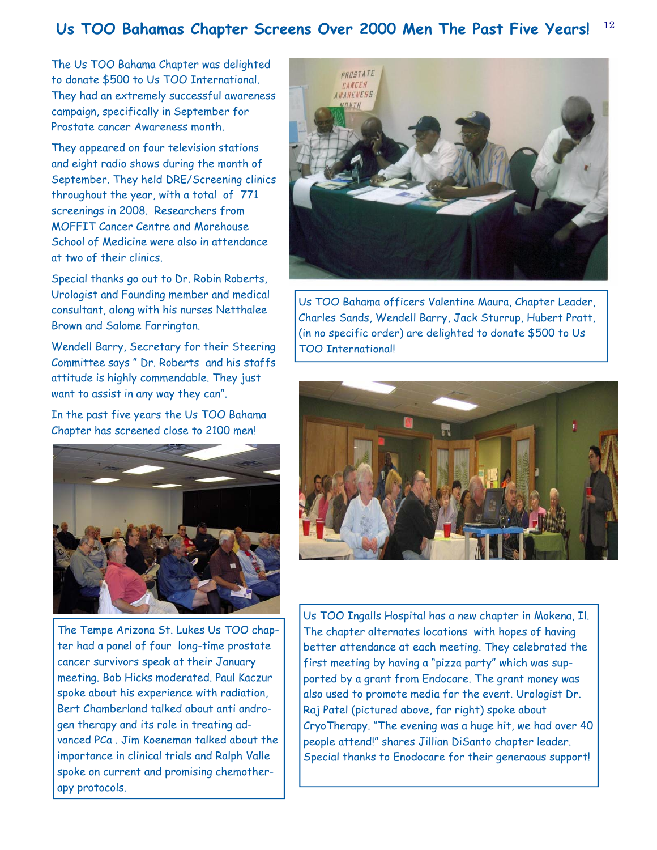#### 12 **Us TOO Bahamas Chapter Screens Over 2000 Men The Past Five Years!**

The Us TOO Bahama Chapter was delighted to donate \$500 to Us TOO International. They had an extremely successful awareness campaign, specifically in September for Prostate cancer Awareness month.

They appeared on four television stations and eight radio shows during the month of September. They held DRE/Screening clinics throughout the year, with a total of 771 screenings in 2008. Researchers from MOFFIT Cancer Centre and Morehouse School of Medicine were also in attendance at two of their clinics.

Special thanks go out to Dr. Robin Roberts, Urologist and Founding member and medical consultant, along with his nurses Netthalee Brown and Salome Farrington.

Wendell Barry, Secretary for their Steering Committee says " Dr. Roberts and his staffs attitude is highly commendable. They just want to assist in any way they can".

In the past five years the Us TOO Bahama Chapter has screened close to 2100 men!



The Tempe Arizona St. Lukes Us TOO chapter had a panel of four long-time prostate cancer survivors speak at their January meeting. Bob Hicks moderated. Paul Kaczur spoke about his experience with radiation, Bert Chamberland talked about anti androgen therapy and its role in treating advanced PCa . Jim Koeneman talked about the importance in clinical trials and Ralph Valle spoke on current and promising chemotherapy protocols.



Us TOO Bahama officers Valentine Maura, Chapter Leader, Charles Sands, Wendell Barry, Jack Sturrup, Hubert Pratt, (in no specific order) are delighted to donate \$500 to Us TOO International!



Us TOO Ingalls Hospital has a new chapter in Mokena, Il. The chapter alternates locations with hopes of having better attendance at each meeting. They celebrated the first meeting by having a "pizza party" which was supported by a grant from Endocare. The grant money was also used to promote media for the event. Urologist Dr. Raj Patel (pictured above, far right) spoke about CryoTherapy. "The evening was a huge hit, we had over 40 people attend!" shares Jillian DiSanto chapter leader. Special thanks to Enodocare for their generaous support!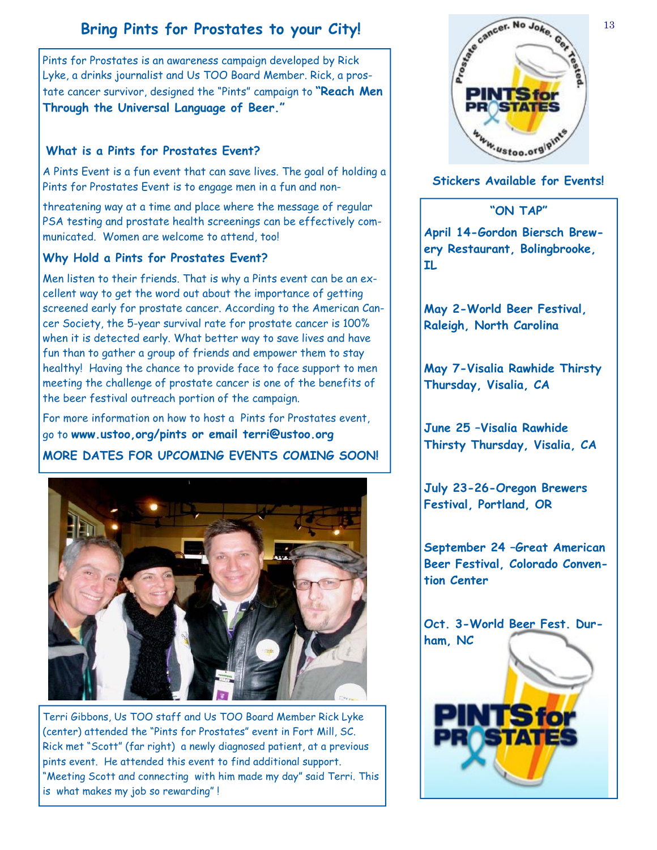## **Bring Pints for Prostates to your City!**

Pints for Prostates is an awareness campaign developed by Rick Lyke, a drinks journalist and Us TOO Board Member. Rick, a prostate cancer survivor, designed the "Pints" campaign to **"Reach Men Through the Universal Language of Beer."** 

#### **What is a Pints for Prostates Event?**

A Pints Event is a fun event that can save lives. The goal of holding a Pints for Prostates Event is to engage men in a fun and non-

threatening way at a time and place where the message of regular PSA testing and prostate health screenings can be effectively communicated. Women are welcome to attend, too!

#### **Why Hold a Pints for Prostates Event?**

Men listen to their friends. That is why a Pints event can be an excellent way to get the word out about the importance of getting screened early for prostate cancer. According to the American Cancer Society, the 5-year survival rate for prostate cancer is 100% when it is detected early. What better way to save lives and have fun than to gather a group of friends and empower them to stay healthy! Having the chance to provide face to face support to men meeting the challenge of prostate cancer is one of the benefits of the beer festival outreach portion of the campaign.

For more information on how to host a Pints for Prostates event, go to **www.ustoo,org/pints or email terri@ustoo.org** 

### **MORE DATES FOR UPCOMING EVENTS COMING SOON!**



Terri Gibbons, Us TOO staff and Us TOO Board Member Rick Lyke (center) attended the "Pints for Prostates" event in Fort Mill, SC. Rick met "Scott" (far right) a newly diagnosed patient, at a previous pints event. He attended this event to find additional support. "Meeting Scott and connecting with him made my day" said Terri. This is what makes my job so rewarding" !



**Stickers Available for Events!** 

**"ON TAP"** 

**April 14-Gordon Biersch Brewery Restaurant, Bolingbrooke, IL** 

**May 2-World Beer Festival, Raleigh, North Carolina** 

**May 7-Visalia Rawhide Thirsty Thursday, Visalia, CA** 

**June 25 –Visalia Rawhide Thirsty Thursday, Visalia, CA** 

**July 23-26-Oregon Brewers Festival, Portland, OR** 

**September 24 –Great American Beer Festival, Colorado Convention Center**